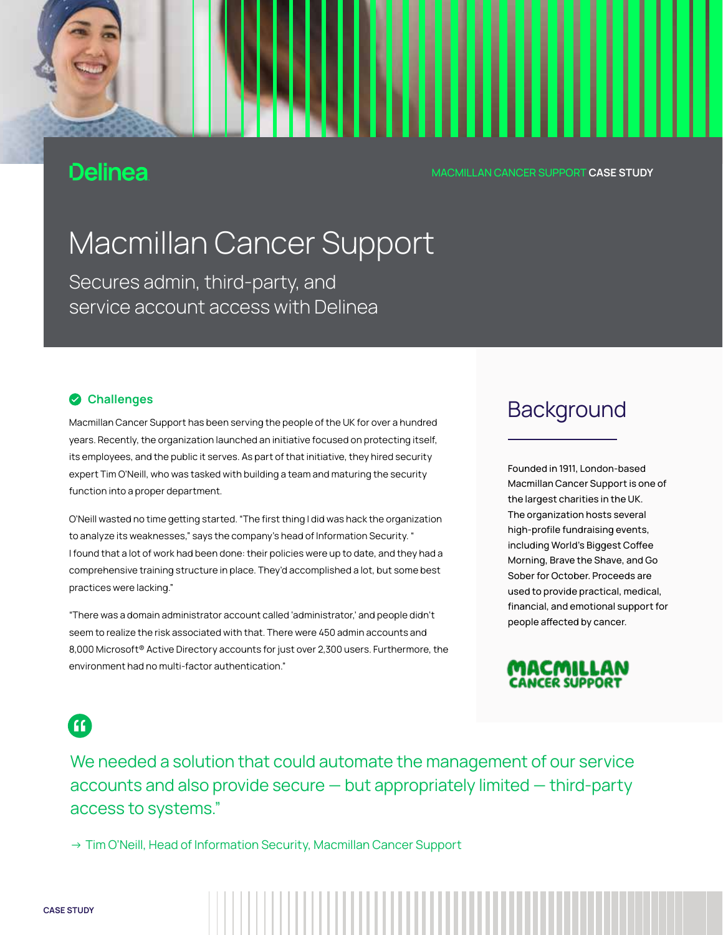# **Delinea**

MACMILLAN CANCER SUPPORT CASE STUDY

# Macmillan Cancer Support

Secures admin, third-party, and save months preparing preparing  $\sim$ service account access with Delinea

### **Challenges**

Macmillan Cancer Support has been serving the people of the UK for over a hundred years. Recently, the organization launched an initiative focused on protecting itself, its employees, and the public it serves. As part of that initiative, they hired security expert Tim O'Neill, who was tasked with building a team and maturing the security function into a proper department.

O'Neill wasted no time getting started. "The first thing I did was hack the organization to analyze its weaknesses," says the company's head of Information Security. " I found that a lot of work had been done: their policies were up to date, and they had a comprehensive training structure in place. They'd accomplished a lot, but some best practices were lacking."

"There was a domain administrator account called 'administrator,' and people didn't seem to realize the risk associated with that. There were 450 admin accounts and 8,000 Microsoft® Active Directory accounts for just over 2,300 users. Furthermore, the environment had no multi-factor authentication."

# MACMILLAN CANCER SUPPORT **CASE S'**<br>|-<br>|-<br>|-<br>|-<br>|-<br>|-<br>|-

Founded in 1911, London-based Macmillan Cancer Support is one of the largest charities in the UK. The organization hosts several high-profile fundraising events, including World's Biggest Coffee Morning, Brave the Shave, and Go Sober for October. Proceeds are used to provide practical, medical, financial, and emotional support for people affected by cancer.



 $\bf G$ 

We needed a solution that could automate the management of our service accounts and also provide secure — but appropriately limited — third-party access to systems."

→ Tim O'Neill, Head of Information Security, Macmillan Cancer Support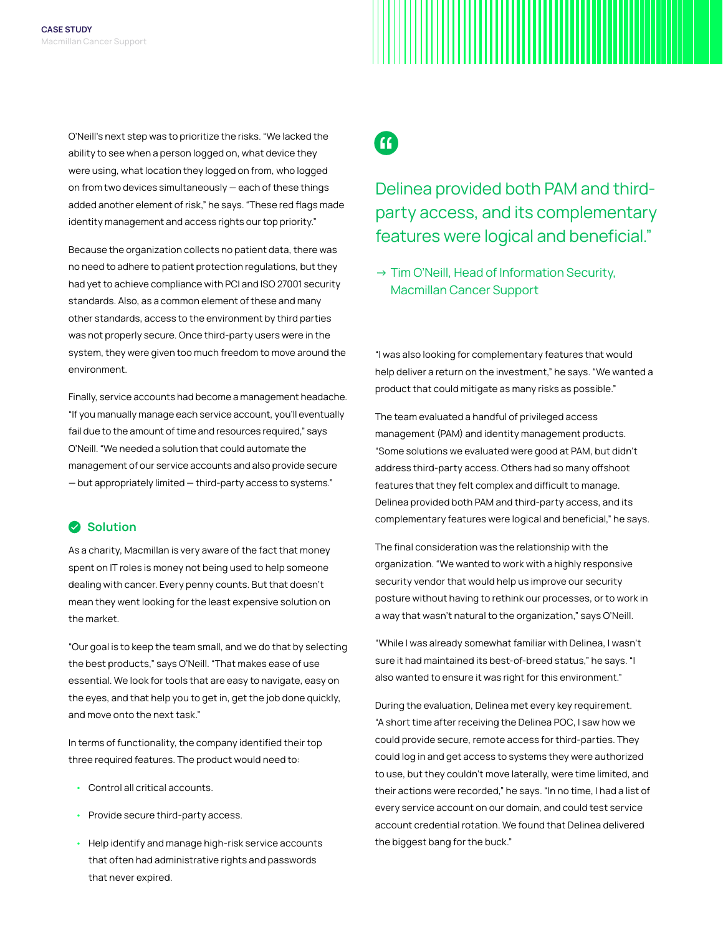O'Neill's next step was to prioritize the risks. "We lacked the ability to see when a person logged on, what device they were using, what location they logged on from, who logged on from two devices simultaneously — each of these things added another element of risk," he says. "These red flags made identity management and access rights our top priority."

Because the organization collects no patient data, there was no need to adhere to patient protection regulations, but they had yet to achieve compliance with PCI and ISO 27001 security standards. Also, as a common element of these and many other standards, access to the environment by third parties was not properly secure. Once third-party users were in the system, they were given too much freedom to move around the environment.

Finally, service accounts had become a management headache. "If you manually manage each service account, you'll eventually fail due to the amount of time and resources required," says O'Neill. "We needed a solution that could automate the management of our service accounts and also provide secure — but appropriately limited — third-party access to systems."

### Solution

As a charity, Macmillan is very aware of the fact that money spent on IT roles is money not being used to help someone dealing with cancer. Every penny counts. But that doesn't mean they went looking for the least expensive solution on the market.

"Our goal is to keep the team small, and we do that by selecting the best products," says O'Neill. "That makes ease of use essential. We look for tools that are easy to navigate, easy on the eyes, and that help you to get in, get the job done quickly, and move onto the next task."

In terms of functionality, the company identified their top three required features. The product would need to:

- Control all critical accounts.
- Provide secure third-party access.
- Help identify and manage high-risk service accounts that often had administrative rights and passwords that never expired.

G

# Delinea provided both PAM and thirdparty access, and its complementary features were logical and beneficial."

→ Tim O'Neill, Head of Information Security, Macmillan Cancer Support

"I was also looking for complementary features that would help deliver a return on the investment," he says. "We wanted a product that could mitigate as many risks as possible."

The team evaluated a handful of privileged access management (PAM) and identity management products. "Some solutions we evaluated were good at PAM, but didn't address third-party access. Others had so many offshoot features that they felt complex and difficult to manage. Delinea provided both PAM and third-party access, and its complementary features were logical and beneficial," he says.

The final consideration was the relationship with the organization. "We wanted to work with a highly responsive security vendor that would help us improve our security posture without having to rethink our processes, or to work in a way that wasn't natural to the organization," says O'Neill.

"While I was already somewhat familiar with Delinea, I wasn't sure it had maintained its best-of-breed status," he says. "I also wanted to ensure it was right for this environment."

During the evaluation, Delinea met every key requirement. "A short time after receiving the Delinea POC, I saw how we could provide secure, remote access for third-parties. They could log in and get access to systems they were authorized to use, but they couldn't move laterally, were time limited, and their actions were recorded," he says. "In no time, I had a list of every service account on our domain, and could test service account credential rotation. We found that Delinea delivered the biggest bang for the buck."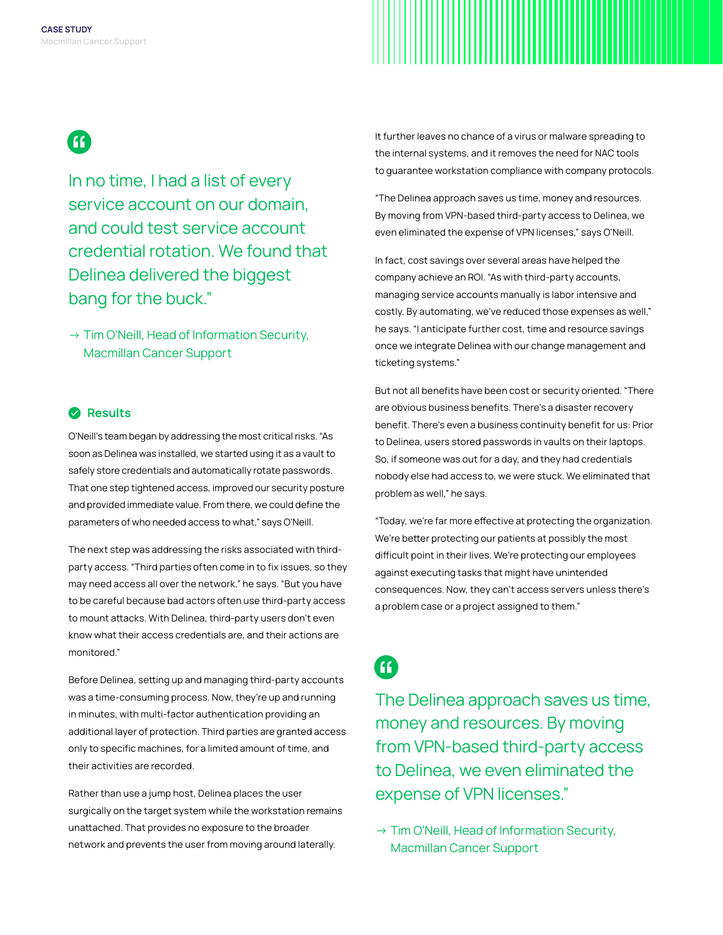

In no time, I had a list of every service account on our domain. and could test service account credential rotation. We found that Delinea delivered the biggest bang for the buck."

→ Tim O'Neill, Head of Information Security, Macmillan Cancer Support

### **2** Results

O'Neill's team began by addressing the most critical risks. "As soon as Delinea was installed, we started using it as a vault to safely store credentials and automatically rotate passwords. That one step tightened access, improved our security posture and provided immediate value. From there, we could define the parameters of who needed access to what," says O'Neill.

The next step was addressing the risks associated with thirdparty access. "Third parties often come in to fix issues, so they may need access all over the network," he says. "But you have to be careful because bad actors often use third-party access to mount attacks. With Delinea, third-party users don't even know what their access credentials are, and their actions are monitored."

Before Delinea, setting up and managing third-party accounts was a time-consuming process. Now, they're up and running in minutes, with multi-factor authentication providing an additional layer of protection. Third parties are granted access only to specific machines, for a limited amount of time, and their activities are recorded.

Rather than use a jump host, Delinea places the user surgically on the target system while the workstation remains unattached. That provides no exposure to the broader network and prevents the user from moving around laterally.

It further leaves no chance of a virus or malware spreading to the internal systems, and it removes the need for NAC tools to guarantee workstation compliance with company protocols.

"The Delinea approach saves us time, money and resources. By moving from VPN-based third-party access to Delinea, we even eliminated the expense of VPN licenses," says O'Neill.

In fact, cost savings over several areas have helped the company achieve an ROI. "As with third-party accounts, managing service accounts manually is labor intensive and costly. By automating, we've reduced those expenses as well," he says. "I anticipate further cost, time and resource savings once we integrate Delinea with our change management and ticketing systems."

But not all benefits have been cost or security oriented. "There are obvious business benefits. There's a disaster recovery benefit. There's even a business continuity benefit for us: Prior to Delinea, users stored passwords in vaults on their laptops. So, if someone was out for a day, and they had credentials nobody else had access to, we were stuck. We eliminated that problem as well," he says.

"Today, we're far more effective at protecting the organization. We're better protecting our patients at possibly the most difficult point in their lives. We're protecting our employees against executing tasks that might have unintended consequences. Now, they can't access servers unless there's a problem case or a project assigned to them."

Œ

The Delinea approach saves us time, money and resources. By moving from VPN-based third-party access to Delinea, we even eliminated the expense of VPN licenses."

→ Tim O'Neill, Head of Information Security, Macmillan Cancer Support